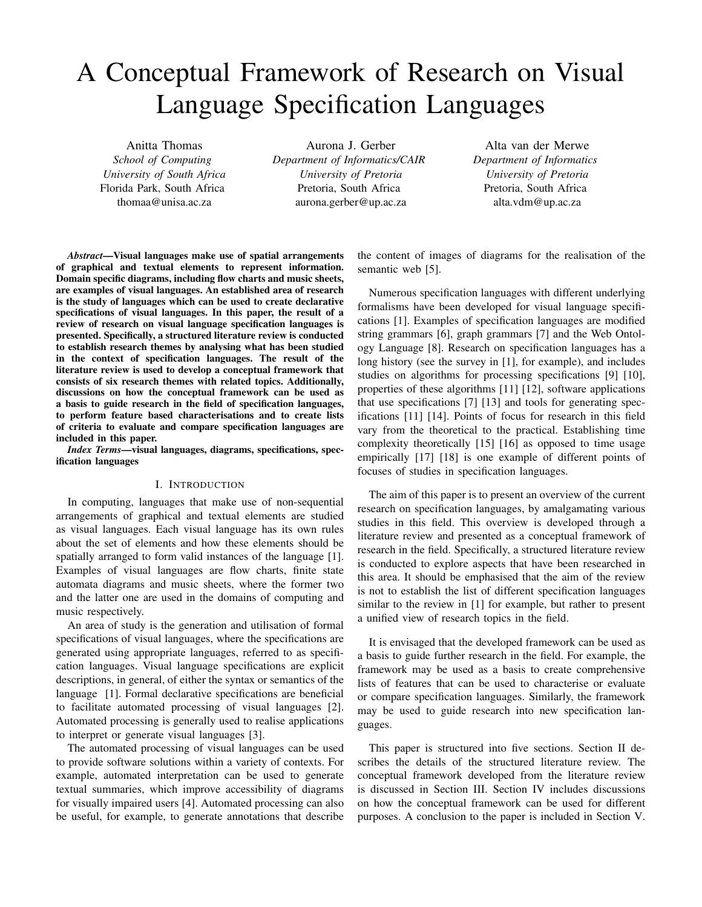# A Conceptual Framework of Research on Visual Language Specification Languages

Anitta Thomas *School of Computing University of South Africa* Florida Park, South Africa thomaa@unisa.ac.za

Aurona J. Gerber *Department of Informatics/CAIR University of Pretoria* Pretoria, South Africa aurona.gerber@up.ac.za

Alta van der Merwe *Department of Informatics University of Pretoria* Pretoria, South Africa alta.vdm@up.ac.za

*Abstract*—Visual languages make use of spatial arrangements of graphical and textual elements to represent information. Domain specific diagrams, including flow charts and music sheets, are examples of visual languages. An established area of research is the study of languages which can be used to create declarative specifications of visual languages. In this paper, the result of a review of research on visual language specification languages is presented. Specifically, a structured literature review is conducted to establish research themes by analysing what has been studied in the context of specification languages. The result of the literature review is used to develop a conceptual framework that consists of six research themes with related topics. Additionally, discussions on how the conceptual framework can be used as a basis to guide research in the field of specification languages, to perform feature based characterisations and to create lists of criteria to evaluate and compare specification languages are included in this paper.

*Index Terms*—visual languages, diagrams, specifications, specification languages

### I. INTRODUCTION

In computing, languages that make use of non-sequential arrangements of graphical and textual elements are studied as visual languages. Each visual language has its own rules about the set of elements and how these elements should be spatially arranged to form valid instances of the language [1]. Examples of visual languages are flow charts, finite state automata diagrams and music sheets, where the former two and the latter one are used in the domains of computing and music respectively.

An area of study is the generation and utilisation of formal specifications of visual languages, where the specifications are generated using appropriate languages, referred to as specification languages. Visual language specifications are explicit descriptions, in general, of either the syntax or semantics of the language [1]. Formal declarative specifications are beneficial to facilitate automated processing of visual languages [2]. Automated processing is generally used to realise applications to interpret or generate visual languages [3].

The automated processing of visual languages can be used to provide software solutions within a variety of contexts. For example, automated interpretation can be used to generate textual summaries, which improve accessibility of diagrams for visually impaired users [4]. Automated processing can also be useful, for example, to generate annotations that describe

the content of images of diagrams for the realisation of the semantic web [5].

Numerous specification languages with different underlying formalisms have been developed for visual language specifications [1]. Examples of specification languages are modified string grammars [6], graph grammars [7] and the Web Ontology Language [8]. Research on specification languages has a long history (see the survey in [1], for example), and includes studies on algorithms for processing specifications [9] [10], properties of these algorithms [11] [12], software applications that use specifications [7] [13] and tools for generating specifications [11] [14]. Points of focus for research in this field vary from the theoretical to the practical. Establishing time complexity theoretically [15] [16] as opposed to time usage empirically [17] [18] is one example of different points of focuses of studies in specification languages.

The aim of this paper is to present an overview of the current research on specification languages, by amalgamating various studies in this field. This overview is developed through a literature review and presented as a conceptual framework of research in the field. Specifically, a structured literature review is conducted to explore aspects that have been researched in this area. It should be emphasised that the aim of the review is not to establish the list of different specification languages similar to the review in [1] for example, but rather to present a unified view of research topics in the field.

It is envisaged that the developed framework can be used as a basis to guide further research in the field. For example, the framework may be used as a basis to create comprehensive lists of features that can be used to characterise or evaluate or compare specification languages. Similarly, the framework may be used to guide research into new specification languages.

This paper is structured into five sections. Section II describes the details of the structured literature review. The conceptual framework developed from the literature review is discussed in Section III. Section IV includes discussions on how the conceptual framework can be used for different purposes. A conclusion to the paper is included in Section V.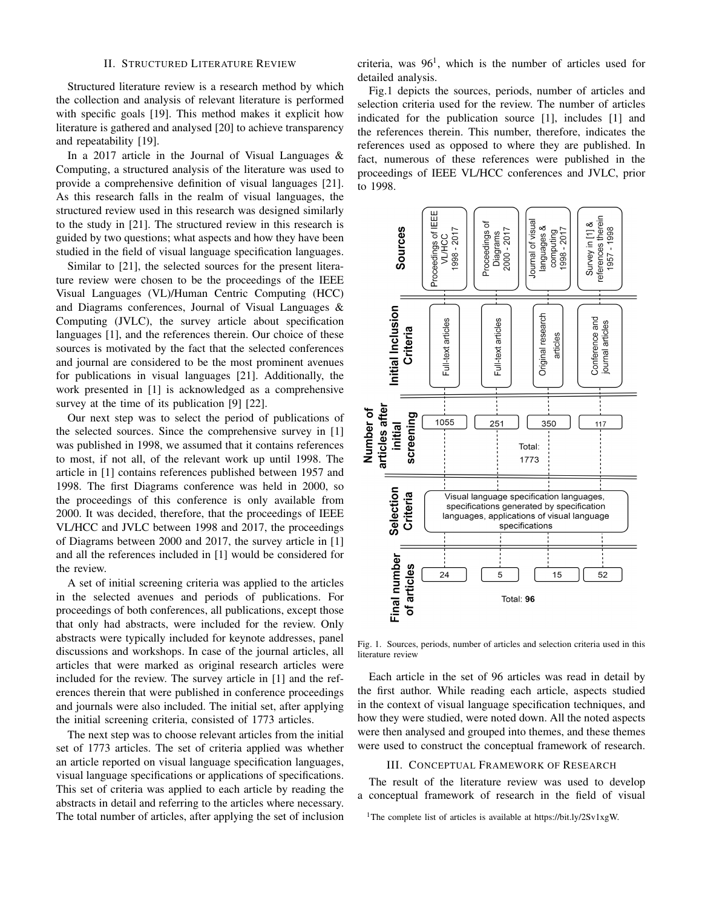### II. STRUCTURED LITERATURE REVIEW

Structured literature review is a research method by which the collection and analysis of relevant literature is performed with specific goals [19]. This method makes it explicit how literature is gathered and analysed [20] to achieve transparency and repeatability [19].

In a 2017 article in the Journal of Visual Languages  $\&$ Computing, a structured analysis of the literature was used to provide a comprehensive definition of visual languages [21]. As this research falls in the realm of visual languages, the structured review used in this research was designed similarly to the study in [21]. The structured review in this research is guided by two questions; what aspects and how they have been studied in the field of visual language specification languages.

Similar to [21], the selected sources for the present literature review were chosen to be the proceedings of the IEEE Visual Languages (VL)/Human Centric Computing (HCC) and Diagrams conferences, Journal of Visual Languages & Computing (JVLC), the survey article about specification languages [1], and the references therein. Our choice of these sources is motivated by the fact that the selected conferences and journal are considered to be the most prominent avenues for publications in visual languages [21]. Additionally, the work presented in [1] is acknowledged as a comprehensive survey at the time of its publication [9] [22].

Our next step was to select the period of publications of the selected sources. Since the comprehensive survey in [1] was published in 1998, we assumed that it contains references to most, if not all, of the relevant work up until 1998. The article in [1] contains references published between 1957 and 1998. The first Diagrams conference was held in 2000, so the proceedings of this conference is only available from 2000. It was decided, therefore, that the proceedings of IEEE VL/HCC and JVLC between 1998 and 2017, the proceedings of Diagrams between 2000 and 2017, the survey article in [1] and all the references included in [1] would be considered for the review.

A set of initial screening criteria was applied to the articles in the selected avenues and periods of publications. For proceedings of both conferences, all publications, except those that only had abstracts, were included for the review. Only abstracts were typically included for keynote addresses, panel discussions and workshops. In case of the journal articles, all articles that were marked as original research articles were included for the review. The survey article in [1] and the references therein that were published in conference proceedings and journals were also included. The initial set, after applying the initial screening criteria, consisted of 1773 articles.

The next step was to choose relevant articles from the initial set of 1773 articles. The set of criteria applied was whether an article reported on visual language specification languages, visual language specifications or applications of specifications. This set of criteria was applied to each article by reading the abstracts in detail and referring to the articles where necessary. The total number of articles, after applying the set of inclusion criteria, was  $96<sup>1</sup>$ , which is the number of articles used for detailed analysis.

Fig.1 depicts the sources, periods, number of articles and selection criteria used for the review. The number of articles indicated for the publication source [1], includes [1] and the references therein. This number, therefore, indicates the references used as opposed to where they are published. In fact, numerous of these references were published in the proceedings of IEEE VL/HCC conferences and JVLC, prior to 1998.



Fig. 1. Sources, periods, number of articles and selection criteria used in this literature review

Each article in the set of 96 articles was read in detail by the first author. While reading each article, aspects studied in the context of visual language specification techniques, and how they were studied, were noted down. All the noted aspects were then analysed and grouped into themes, and these themes were used to construct the conceptual framework of research.

## III. CONCEPTUAL FRAMEWORK OF RESEARCH

The result of the literature review was used to develop a conceptual framework of research in the field of visual

<sup>1</sup>The complete list of articles is available at https://bit.ly/2Sv1xgW.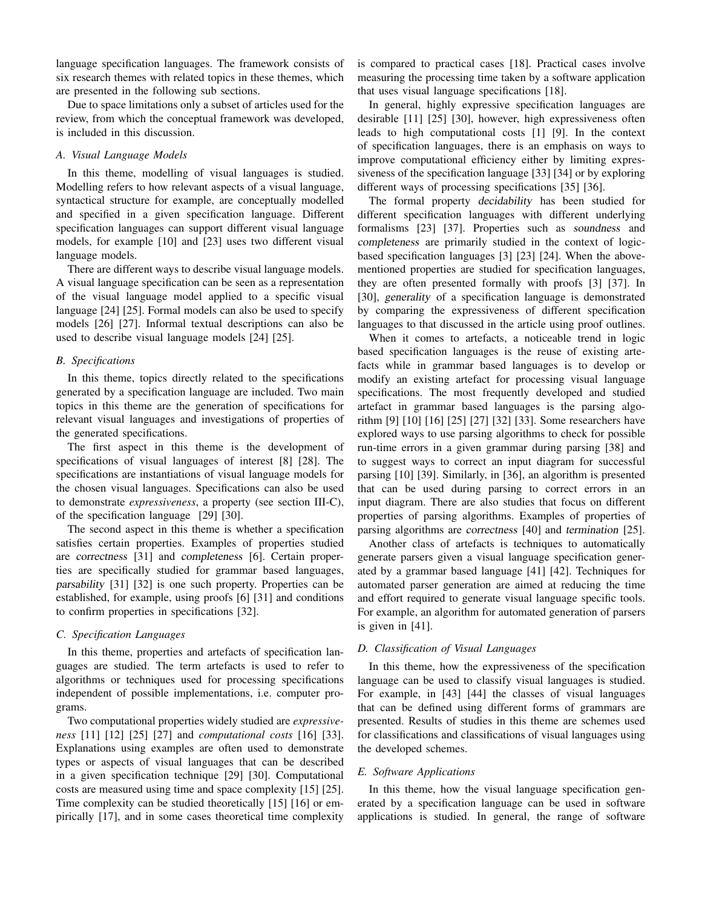language specification languages. The framework consists of six research themes with related topics in these themes, which are presented in the following sub sections.

Due to space limitations only a subset of articles used for the review, from which the conceptual framework was developed, is included in this discussion.

#### *A. Visual Language Models*

In this theme, modelling of visual languages is studied. Modelling refers to how relevant aspects of a visual language, syntactical structure for example, are conceptually modelled and specified in a given specification language. Different specification languages can support different visual language models, for example [10] and [23] uses two different visual language models.

There are different ways to describe visual language models. A visual language specification can be seen as a representation of the visual language model applied to a specific visual language [24] [25]. Formal models can also be used to specify models [26] [27]. Informal textual descriptions can also be used to describe visual language models [24] [25].

#### *B. Specifications*

In this theme, topics directly related to the specifications generated by a specification language are included. Two main topics in this theme are the generation of specifications for relevant visual languages and investigations of properties of the generated specifications.

The first aspect in this theme is the development of specifications of visual languages of interest [8] [28]. The specifications are instantiations of visual language models for the chosen visual languages. Specifications can also be used to demonstrate *expressiveness*, a property (see section III-C), of the specification language [29] [30].

The second aspect in this theme is whether a specification satisfies certain properties. Examples of properties studied are correctness [31] and completeness [6]. Certain properties are specifically studied for grammar based languages, parsability [31] [32] is one such property. Properties can be established, for example, using proofs [6] [31] and conditions to confirm properties in specifications [32].

## *C. Specification Languages*

In this theme, properties and artefacts of specification languages are studied. The term artefacts is used to refer to algorithms or techniques used for processing specifications independent of possible implementations, i.e. computer programs.

Two computational properties widely studied are *expressiveness* [11] [12] [25] [27] and *computational costs* [16] [33]. Explanations using examples are often used to demonstrate types or aspects of visual languages that can be described in a given specification technique [29] [30]. Computational costs are measured using time and space complexity [15] [25]. Time complexity can be studied theoretically [15] [16] or empirically [17], and in some cases theoretical time complexity

is compared to practical cases [18]. Practical cases involve measuring the processing time taken by a software application that uses visual language specifications [18].

In general, highly expressive specification languages are desirable [11] [25] [30], however, high expressiveness often leads to high computational costs [1] [9]. In the context of specification languages, there is an emphasis on ways to improve computational efficiency either by limiting expressiveness of the specification language [33] [34] or by exploring different ways of processing specifications [35] [36].

The formal property decidability has been studied for different specification languages with different underlying formalisms [23] [37]. Properties such as soundness and completeness are primarily studied in the context of logicbased specification languages [3] [23] [24]. When the abovementioned properties are studied for specification languages, they are often presented formally with proofs [3] [37]. In [30], generality of a specification language is demonstrated by comparing the expressiveness of different specification languages to that discussed in the article using proof outlines.

When it comes to artefacts, a noticeable trend in logic based specification languages is the reuse of existing artefacts while in grammar based languages is to develop or modify an existing artefact for processing visual language specifications. The most frequently developed and studied artefact in grammar based languages is the parsing algorithm [9] [10] [16] [25] [27] [32] [33]. Some researchers have explored ways to use parsing algorithms to check for possible run-time errors in a given grammar during parsing [38] and to suggest ways to correct an input diagram for successful parsing [10] [39]. Similarly, in [36], an algorithm is presented that can be used during parsing to correct errors in an input diagram. There are also studies that focus on different properties of parsing algorithms. Examples of properties of parsing algorithms are correctness [40] and termination [25].

Another class of artefacts is techniques to automatically generate parsers given a visual language specification generated by a grammar based language [41] [42]. Techniques for automated parser generation are aimed at reducing the time and effort required to generate visual language specific tools. For example, an algorithm for automated generation of parsers is given in [41].

## *D. Classification of Visual Languages*

In this theme, how the expressiveness of the specification language can be used to classify visual languages is studied. For example, in [43] [44] the classes of visual languages that can be defined using different forms of grammars are presented. Results of studies in this theme are schemes used for classifications and classifications of visual languages using the developed schemes.

#### *E. Software Applications*

In this theme, how the visual language specification generated by a specification language can be used in software applications is studied. In general, the range of software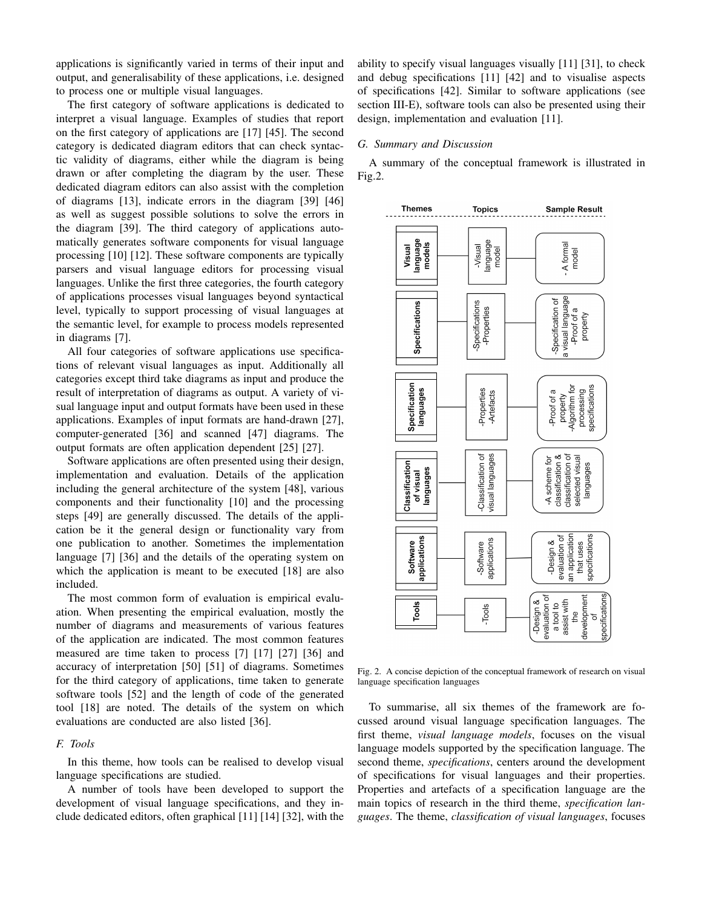applications is significantly varied in terms of their input and output, and generalisability of these applications, i.e. designed to process one or multiple visual languages.

The first category of software applications is dedicated to interpret a visual language. Examples of studies that report on the first category of applications are [17] [45]. The second category is dedicated diagram editors that can check syntactic validity of diagrams, either while the diagram is being drawn or after completing the diagram by the user. These dedicated diagram editors can also assist with the completion of diagrams [13], indicate errors in the diagram [39] [46] as well as suggest possible solutions to solve the errors in the diagram [39]. The third category of applications automatically generates software components for visual language processing [10] [12]. These software components are typically parsers and visual language editors for processing visual languages. Unlike the first three categories, the fourth category of applications processes visual languages beyond syntactical level, typically to support processing of visual languages at the semantic level, for example to process models represented in diagrams [7].

All four categories of software applications use specifications of relevant visual languages as input. Additionally all categories except third take diagrams as input and produce the result of interpretation of diagrams as output. A variety of visual language input and output formats have been used in these applications. Examples of input formats are hand-drawn [27], computer-generated [36] and scanned [47] diagrams. The output formats are often application dependent [25] [27].

Software applications are often presented using their design, implementation and evaluation. Details of the application including the general architecture of the system [48], various components and their functionality [10] and the processing steps [49] are generally discussed. The details of the application be it the general design or functionality vary from one publication to another. Sometimes the implementation language [7] [36] and the details of the operating system on which the application is meant to be executed [18] are also included.

The most common form of evaluation is empirical evaluation. When presenting the empirical evaluation, mostly the number of diagrams and measurements of various features of the application are indicated. The most common features measured are time taken to process [7] [17] [27] [36] and accuracy of interpretation [50] [51] of diagrams. Sometimes for the third category of applications, time taken to generate software tools [52] and the length of code of the generated tool [18] are noted. The details of the system on which evaluations are conducted are also listed [36].

## *F. Tools*

In this theme, how tools can be realised to develop visual language specifications are studied.

A number of tools have been developed to support the development of visual language specifications, and they include dedicated editors, often graphical [11] [14] [32], with the ability to specify visual languages visually [11] [31], to check and debug specifications [11] [42] and to visualise aspects of specifications [42]. Similar to software applications (see section III-E), software tools can also be presented using their design, implementation and evaluation [11].

## *G. Summary and Discussion*

A summary of the conceptual framework is illustrated in Fig.2.



Fig. 2. A concise depiction of the conceptual framework of research on visual language specification languages

To summarise, all six themes of the framework are focussed around visual language specification languages. The first theme, *visual language models*, focuses on the visual language models supported by the specification language. The second theme, *specifications*, centers around the development of specifications for visual languages and their properties. Properties and artefacts of a specification language are the main topics of research in the third theme, *specification languages*. The theme, *classification of visual languages*, focuses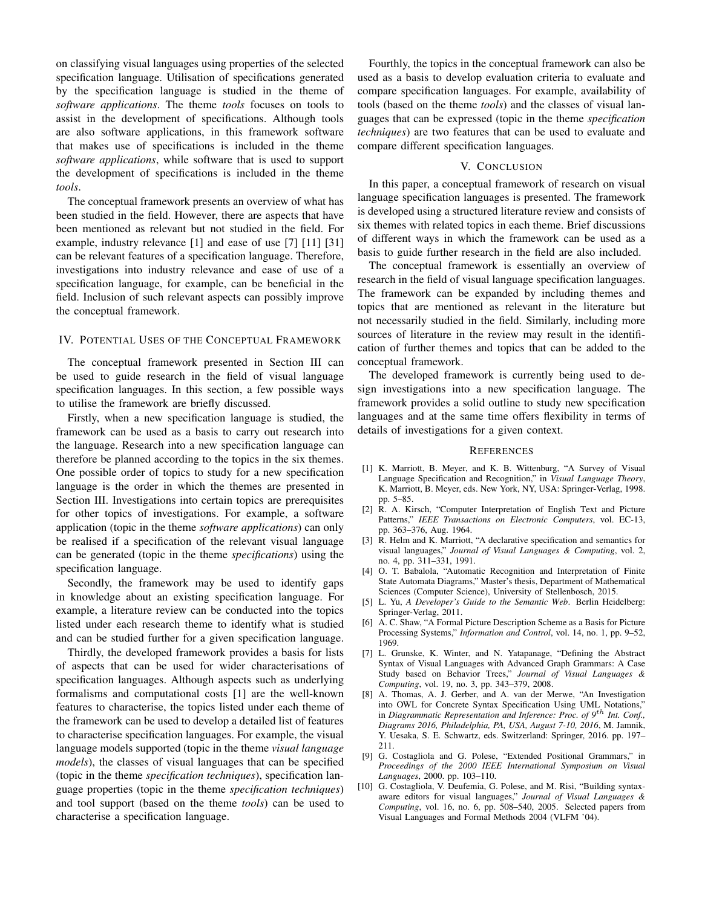on classifying visual languages using properties of the selected specification language. Utilisation of specifications generated by the specification language is studied in the theme of *software applications*. The theme *tools* focuses on tools to assist in the development of specifications. Although tools are also software applications, in this framework software that makes use of specifications is included in the theme *software applications*, while software that is used to support the development of specifications is included in the theme *tools*.

The conceptual framework presents an overview of what has been studied in the field. However, there are aspects that have been mentioned as relevant but not studied in the field. For example, industry relevance [1] and ease of use [7] [11] [31] can be relevant features of a specification language. Therefore, investigations into industry relevance and ease of use of a specification language, for example, can be beneficial in the field. Inclusion of such relevant aspects can possibly improve the conceptual framework.

## IV. POTENTIAL USES OF THE CONCEPTUAL FRAMEWORK

The conceptual framework presented in Section III can be used to guide research in the field of visual language specification languages. In this section, a few possible ways to utilise the framework are briefly discussed.

Firstly, when a new specification language is studied, the framework can be used as a basis to carry out research into the language. Research into a new specification language can therefore be planned according to the topics in the six themes. One possible order of topics to study for a new specification language is the order in which the themes are presented in Section III. Investigations into certain topics are prerequisites for other topics of investigations. For example, a software application (topic in the theme *software applications*) can only be realised if a specification of the relevant visual language can be generated (topic in the theme *specifications*) using the specification language.

Secondly, the framework may be used to identify gaps in knowledge about an existing specification language. For example, a literature review can be conducted into the topics listed under each research theme to identify what is studied and can be studied further for a given specification language.

Thirdly, the developed framework provides a basis for lists of aspects that can be used for wider characterisations of specification languages. Although aspects such as underlying formalisms and computational costs [1] are the well-known features to characterise, the topics listed under each theme of the framework can be used to develop a detailed list of features to characterise specification languages. For example, the visual language models supported (topic in the theme *visual language models*), the classes of visual languages that can be specified (topic in the theme *specification techniques*), specification language properties (topic in the theme *specification techniques*) and tool support (based on the theme *tools*) can be used to characterise a specification language.

Fourthly, the topics in the conceptual framework can also be used as a basis to develop evaluation criteria to evaluate and compare specification languages. For example, availability of tools (based on the theme *tools*) and the classes of visual languages that can be expressed (topic in the theme *specification techniques*) are two features that can be used to evaluate and compare different specification languages.

#### V. CONCLUSION

In this paper, a conceptual framework of research on visual language specification languages is presented. The framework is developed using a structured literature review and consists of six themes with related topics in each theme. Brief discussions of different ways in which the framework can be used as a basis to guide further research in the field are also included.

The conceptual framework is essentially an overview of research in the field of visual language specification languages. The framework can be expanded by including themes and topics that are mentioned as relevant in the literature but not necessarily studied in the field. Similarly, including more sources of literature in the review may result in the identification of further themes and topics that can be added to the conceptual framework.

The developed framework is currently being used to design investigations into a new specification language. The framework provides a solid outline to study new specification languages and at the same time offers flexibility in terms of details of investigations for a given context.

#### **REFERENCES**

- [1] K. Marriott, B. Meyer, and K. B. Wittenburg, "A Survey of Visual Language Specification and Recognition," in *Visual Language Theory*, K. Marriott, B. Meyer, eds. New York, NY, USA: Springer-Verlag, 1998. pp. 5–85.
- [2] R. A. Kirsch, "Computer Interpretation of English Text and Picture Patterns," *IEEE Transactions on Electronic Computers*, vol. EC-13, pp. 363–376, Aug. 1964.
- [3] R. Helm and K. Marriott, "A declarative specification and semantics for visual languages," *Journal of Visual Languages & Computing*, vol. 2, no. 4, pp. 311–331, 1991.
- [4] O. T. Babalola, "Automatic Recognition and Interpretation of Finite State Automata Diagrams," Master's thesis, Department of Mathematical Sciences (Computer Science), University of Stellenbosch, 2015.
- [5] L. Yu, *A Developer's Guide to the Semantic Web*. Berlin Heidelberg: Springer-Verlag, 2011.
- [6] A. C. Shaw, "A Formal Picture Description Scheme as a Basis for Picture Processing Systems," *Information and Control*, vol. 14, no. 1, pp. 9–52, 1969.
- [7] L. Grunske, K. Winter, and N. Yatapanage, "Defining the Abstract Syntax of Visual Languages with Advanced Graph Grammars: A Case Study based on Behavior Trees," *Journal of Visual Languages & Computing*, vol. 19, no. 3, pp. 343–379, 2008.
- [8] A. Thomas, A. J. Gerber, and A. van der Merwe, "An Investigation into OWL for Concrete Syntax Specification Using UML Notations," in *Diagrammatic Representation and Inference: Proc. of 9th Int. Conf., Diagrams 2016, Philadelphia, PA, USA, August 7-10, 2016*, M. Jamnik, Y. Uesaka, S. E. Schwartz, eds. Switzerland: Springer, 2016. pp. 197– 211.
- [9] G. Costagliola and G. Polese, "Extended Positional Grammars," in *Proceedings of the 2000 IEEE International Symposium on Visual Languages*, 2000. pp. 103–110.
- [10] G. Costagliola, V. Deufemia, G. Polese, and M. Risi, "Building syntaxaware editors for visual languages," *Journal of Visual Languages & Computing*, vol. 16, no. 6, pp. 508–540, 2005. Selected papers from Visual Languages and Formal Methods 2004 (VLFM '04).